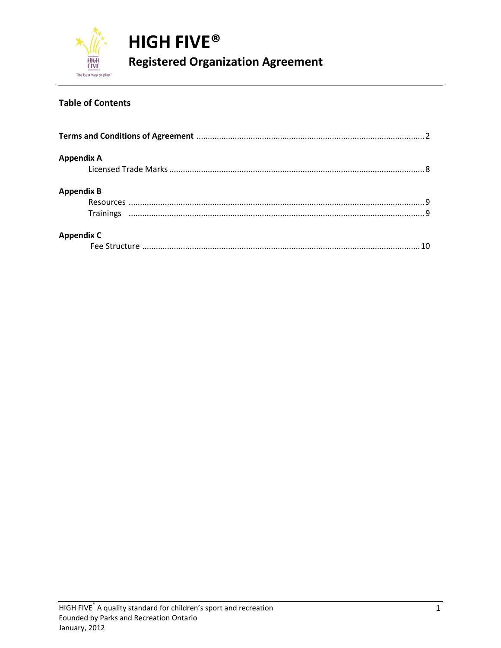

#### **Table of Contents**

| <b>Appendix A</b> |  |
|-------------------|--|
|                   |  |
| <b>Appendix B</b> |  |
|                   |  |
|                   |  |
| <b>Appendix C</b> |  |
|                   |  |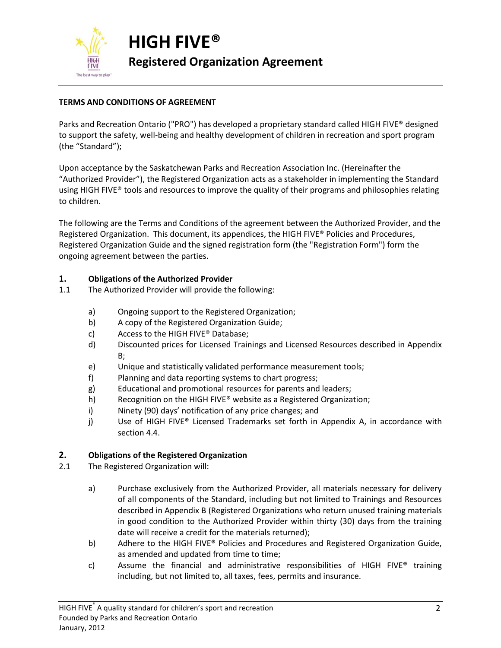

#### **TERMS AND CONDITIONS OF AGREEMENT**

Parks and Recreation Ontario ("PRO") has developed a proprietary standard called HIGH FIVE® designed to support the safety, well-being and healthy development of children in recreation and sport program (the "Standard");

Upon acceptance by the Saskatchewan Parks and Recreation Association Inc. (Hereinafter the "Authorized Provider"), the Registered Organization acts as a stakeholder in implementing the Standard using HIGH FIVE® tools and resources to improve the quality of their programs and philosophies relating to children.

The following are the Terms and Conditions of the agreement between the Authorized Provider, and the Registered Organization. This document, its appendices, the HIGH FIVE® Policies and Procedures, Registered Organization Guide and the signed registration form (the "Registration Form") form the ongoing agreement between the parties.

#### **1. Obligations of the Authorized Provider**

- 1.1 The Authorized Provider will provide the following:
	- a) Ongoing support to the Registered Organization;
	- b) A copy of the Registered Organization Guide;
	- c) Access to the HIGH FIVE® Database;
	- d) Discounted prices for Licensed Trainings and Licensed Resources described in Appendix B;
	- e) Unique and statistically validated performance measurement tools;
	- f) Planning and data reporting systems to chart progress;
	- g) Educational and promotional resources for parents and leaders;
	- h) Recognition on the HIGH FIVE® website as a Registered Organization;
	- i) Ninety (90) days' notification of any price changes; and
	- j) Use of HIGH FIVE® Licensed Trademarks set forth in Appendix A, in accordance with section 4.4.

#### **2. Obligations of the Registered Organization**

- 2.1 The Registered Organization will:
	- a) Purchase exclusively from the Authorized Provider, all materials necessary for delivery of all components of the Standard, including but not limited to Trainings and Resources described in Appendix B (Registered Organizations who return unused training materials in good condition to the Authorized Provider within thirty (30) days from the training date will receive a credit for the materials returned);
	- b) Adhere to the HIGH FIVE® Policies and Procedures and Registered Organization Guide, as amended and updated from time to time;
	- c) Assume the financial and administrative responsibilities of HIGH FIVE<sup>®</sup> training including, but not limited to, all taxes, fees, permits and insurance.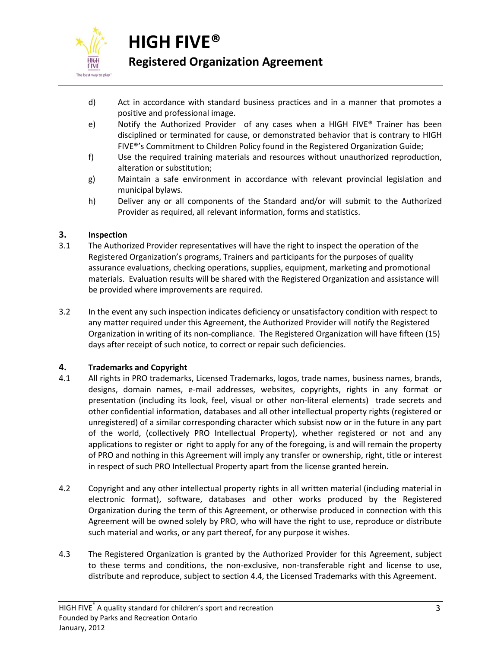

# **HIGH FIVE®**

# **Registered Organization Agreement**

- d) Act in accordance with standard business practices and in a manner that promotes a positive and professional image.
- e) Notify the Authorized Provider of any cases when a HIGH FIVE® Trainer has been disciplined or terminated for cause, or demonstrated behavior that is contrary to HIGH FIVE®'s Commitment to Children Policy found in the Registered Organization Guide;
- f) Use the required training materials and resources without unauthorized reproduction, alteration or substitution;
- g) Maintain a safe environment in accordance with relevant provincial legislation and municipal bylaws.
- h) Deliver any or all components of the Standard and/or will submit to the Authorized Provider as required, all relevant information, forms and statistics.

# **3. Inspection**

- 3.1 The Authorized Provider representatives will have the right to inspect the operation of the Registered Organization's programs, Trainers and participants for the purposes of quality assurance evaluations, checking operations, supplies, equipment, marketing and promotional materials. Evaluation results will be shared with the Registered Organization and assistance will be provided where improvements are required.
- 3.2 In the event any such inspection indicates deficiency or unsatisfactory condition with respect to any matter required under this Agreement, the Authorized Provider will notify the Registered Organization in writing of its non-compliance. The Registered Organization will have fifteen (15) days after receipt of such notice, to correct or repair such deficiencies.

# **4. Trademarks and Copyright**

- 4.1 All rights in PRO trademarks, Licensed Trademarks, logos, trade names, business names, brands, designs, domain names, e-mail addresses, websites, copyrights, rights in any format or presentation (including its look, feel, visual or other non-literal elements) trade secrets and other confidential information, databases and all other intellectual property rights (registered or unregistered) of a similar corresponding character which subsist now or in the future in any part of the world, (collectively PRO Intellectual Property), whether registered or not and any applications to register or right to apply for any of the foregoing, is and will remain the property of PRO and nothing in this Agreement will imply any transfer or ownership, right, title or interest in respect of such PRO Intellectual Property apart from the license granted herein.
- 4.2 Copyright and any other intellectual property rights in all written material (including material in electronic format), software, databases and other works produced by the Registered Organization during the term of this Agreement, or otherwise produced in connection with this Agreement will be owned solely by PRO, who will have the right to use, reproduce or distribute such material and works, or any part thereof, for any purpose it wishes.
- 4.3 The Registered Organization is granted by the Authorized Provider for this Agreement, subject to these terms and conditions, the non-exclusive, non-transferable right and license to use, distribute and reproduce, subject to section 4.4, the Licensed Trademarks with this Agreement.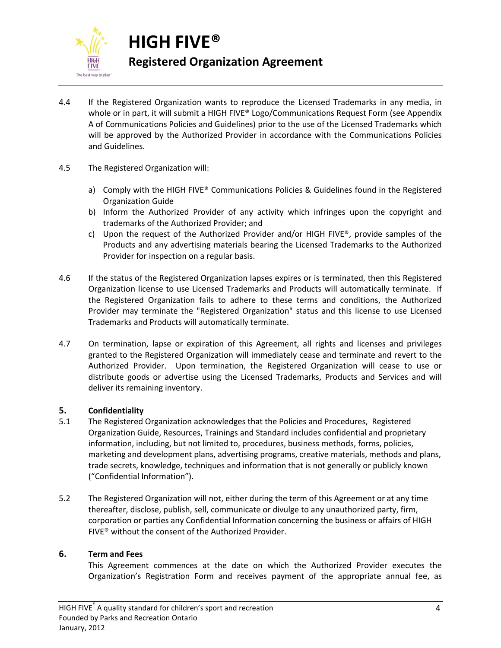

**HIGH FIVE® Registered Organization Agreement**

- 4.4 If the Registered Organization wants to reproduce the Licensed Trademarks in any media, in whole or in part, it will submit a HIGH FIVE® Logo/Communications Request Form (see Appendix A of Communications Policies and Guidelines) prior to the use of the Licensed Trademarks which will be approved by the Authorized Provider in accordance with the Communications Policies and Guidelines.
- 4.5 The Registered Organization will:
	- a) Comply with the HIGH FIVE® Communications Policies & Guidelines found in the Registered Organization Guide
	- b) Inform the Authorized Provider of any activity which infringes upon the copyright and trademarks of the Authorized Provider; and
	- c) Upon the request of the Authorized Provider and/or HIGH FIVE®, provide samples of the Products and any advertising materials bearing the Licensed Trademarks to the Authorized Provider for inspection on a regular basis.
- 4.6 If the status of the Registered Organization lapses expires or is terminated, then this Registered Organization license to use Licensed Trademarks and Products will automatically terminate. If the Registered Organization fails to adhere to these terms and conditions, the Authorized Provider may terminate the "Registered Organization" status and this license to use Licensed Trademarks and Products will automatically terminate.
- 4.7 On termination, lapse or expiration of this Agreement, all rights and licenses and privileges granted to the Registered Organization will immediately cease and terminate and revert to the Authorized Provider. Upon termination, the Registered Organization will cease to use or distribute goods or advertise using the Licensed Trademarks, Products and Services and will deliver its remaining inventory.

#### **5. Confidentiality**

- 5.1 The Registered Organization acknowledges that the Policies and Procedures, Registered Organization Guide, Resources, Trainings and Standard includes confidential and proprietary information, including, but not limited to, procedures, business methods, forms, policies, marketing and development plans, advertising programs, creative materials, methods and plans, trade secrets, knowledge, techniques and information that is not generally or publicly known ("Confidential Information").
- 5.2 The Registered Organization will not, either during the term of this Agreement or at any time thereafter, disclose, publish, sell, communicate or divulge to any unauthorized party, firm, corporation or parties any Confidential Information concerning the business or affairs of HIGH FIVE® without the consent of the Authorized Provider.

#### **6. Term and Fees**

This Agreement commences at the date on which the Authorized Provider executes the Organization's Registration Form and receives payment of the appropriate annual fee, as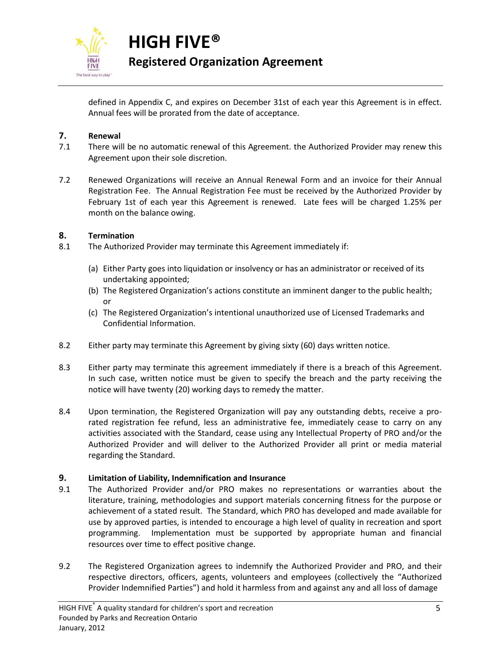

**HIGH FIVE® Registered Organization Agreement**

defined in Appendix C, and expires on December 31st of each year this Agreement is in effect. Annual fees will be prorated from the date of acceptance.

#### **7. Renewal**

- 7.1 There will be no automatic renewal of this Agreement. the Authorized Provider may renew this Agreement upon their sole discretion.
- 7.2 Renewed Organizations will receive an Annual Renewal Form and an invoice for their Annual Registration Fee. The Annual Registration Fee must be received by the Authorized Provider by February 1st of each year this Agreement is renewed. Late fees will be charged 1.25% per month on the balance owing.

#### **8. Termination**

- 8.1 The Authorized Provider may terminate this Agreement immediately if:
	- (a) Either Party goes into liquidation or insolvency or has an administrator or received of its undertaking appointed;
	- (b) The Registered Organization's actions constitute an imminent danger to the public health; or
	- (c) The Registered Organization's intentional unauthorized use of Licensed Trademarks and Confidential Information.
- 8.2 Either party may terminate this Agreement by giving sixty (60) days written notice.
- 8.3 Either party may terminate this agreement immediately if there is a breach of this Agreement. In such case, written notice must be given to specify the breach and the party receiving the notice will have twenty (20) working days to remedy the matter.
- 8.4 Upon termination, the Registered Organization will pay any outstanding debts, receive a prorated registration fee refund, less an administrative fee, immediately cease to carry on any activities associated with the Standard, cease using any Intellectual Property of PRO and/or the Authorized Provider and will deliver to the Authorized Provider all print or media material regarding the Standard.

#### **9. Limitation of Liability, Indemnification and Insurance**

- 9.1 The Authorized Provider and/or PRO makes no representations or warranties about the literature, training, methodologies and support materials concerning fitness for the purpose or achievement of a stated result. The Standard, which PRO has developed and made available for use by approved parties, is intended to encourage a high level of quality in recreation and sport programming. Implementation must be supported by appropriate human and financial resources over time to effect positive change.
- 9.2 The Registered Organization agrees to indemnify the Authorized Provider and PRO, and their respective directors, officers, agents, volunteers and employees (collectively the "Authorized Provider Indemnified Parties") and hold it harmless from and against any and all loss of damage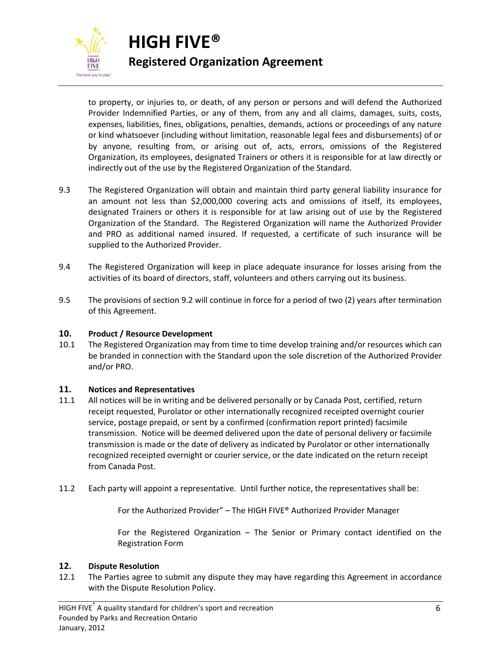

to property, or injuries to, or death, of any person or persons and will defend the Authorized Provider Indemnified Parties, or any of them, from any and all claims, damages, suits, costs, expenses, liabilities, fines, obligations, penalties, demands, actions or proceedings of any nature or kind whatsoever (including without limitation, reasonable legal fees and disbursements) of or by anyone, resulting from, or arising out of, acts, errors, omissions of the Registered Organization, its employees, designated Trainers or others it is responsible for at law directly or indirectly out of the use by the Registered Organization of the Standard.

- 9.3 The Registered Organization will obtain and maintain third party general liability insurance for an amount not less than \$2,000,000 covering acts and omissions of itself, its employees, designated Trainers or others it is responsible for at law arising out of use by the Registered Organization of the Standard. The Registered Organization will name the Authorized Provider and PRO as additional named insured. If requested, a certificate of such insurance will be supplied to the Authorized Provider.
- 9.4 The Registered Organization will keep in place adequate insurance for losses arising from the activities of its board of directors, staff, volunteers and others carrying out its business.
- 9.5 The provisions of section 9.2 will continue in force for a period of two (2) years after termination of this Agreement.

#### **10. Product / Resource Development**

10.1 The Registered Organization may from time to time develop training and/or resources which can be branded in connection with the Standard upon the sole discretion of the Authorized Provider and/or PRO.

#### **11. Notices and Representatives**

- 11.1 All notices will be in writing and be delivered personally or by Canada Post, certified, return receipt requested, Purolator or other internationally recognized receipted overnight courier service, postage prepaid, or sent by a confirmed (confirmation report printed) facsimile transmission. Notice will be deemed delivered upon the date of personal delivery or facsimile transmission is made or the date of delivery as indicated by Purolator or other internationally recognized receipted overnight or courier service, or the date indicated on the return receipt from Canada Post.
- 11.2 Each party will appoint a representative. Until further notice, the representatives shall be:

For the Authorized Provider" – The HIGH FIVE® Authorized Provider Manager

For the Registered Organization – The Senior or Primary contact identified on the Registration Form

#### **12. Dispute Resolution**

12.1 The Parties agree to submit any dispute they may have regarding this Agreement in accordance with the Dispute Resolution Policy.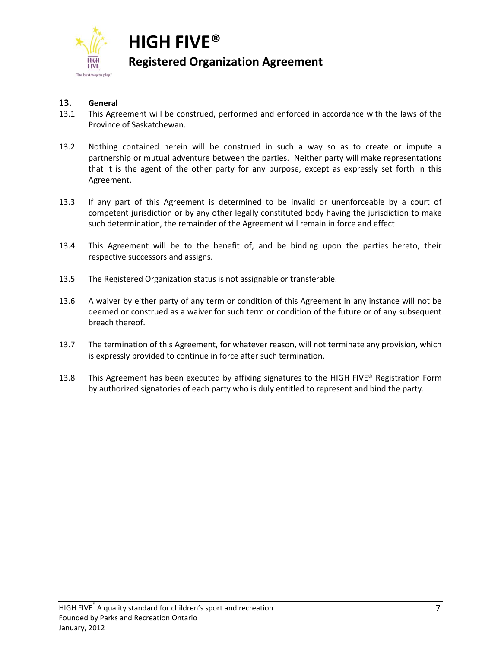

**HIGH FIVE® Registered Organization Agreement**

# **13. General**

- 13.1 This Agreement will be construed, performed and enforced in accordance with the laws of the Province of Saskatchewan.
- 13.2 Nothing contained herein will be construed in such a way so as to create or impute a partnership or mutual adventure between the parties. Neither party will make representations that it is the agent of the other party for any purpose, except as expressly set forth in this Agreement.
- 13.3 If any part of this Agreement is determined to be invalid or unenforceable by a court of competent jurisdiction or by any other legally constituted body having the jurisdiction to make such determination, the remainder of the Agreement will remain in force and effect.
- 13.4 This Agreement will be to the benefit of, and be binding upon the parties hereto, their respective successors and assigns.
- 13.5 The Registered Organization status is not assignable or transferable.
- 13.6 A waiver by either party of any term or condition of this Agreement in any instance will not be deemed or construed as a waiver for such term or condition of the future or of any subsequent breach thereof.
- 13.7 The termination of this Agreement, for whatever reason, will not terminate any provision, which is expressly provided to continue in force after such termination.
- 13.8 This Agreement has been executed by affixing signatures to the HIGH FIVE® Registration Form by authorized signatories of each party who is duly entitled to represent and bind the party.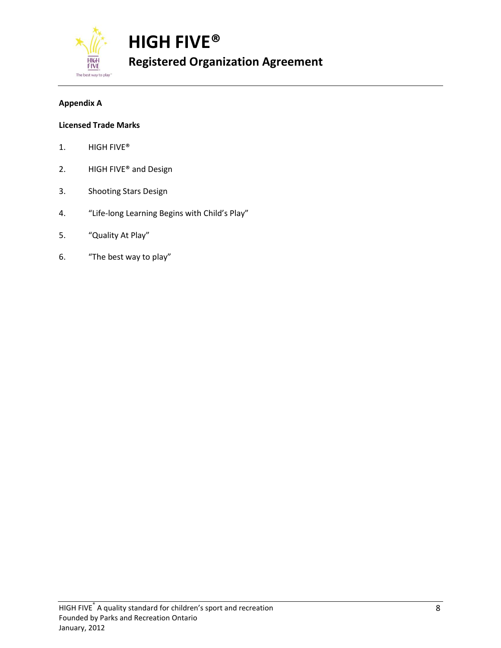**FIVI** The best way to play

**HIGH FIVE® Registered Organization Agreement**

# **Appendix A**

#### **Licensed Trade Marks**

- 1. HIGH FIVE®
- 2. HIGH FIVE® and Design
- 3. Shooting Stars Design
- 4. "Life-long Learning Begins with Child's Play"
- 5. "Quality At Play"
- 6. "The best way to play"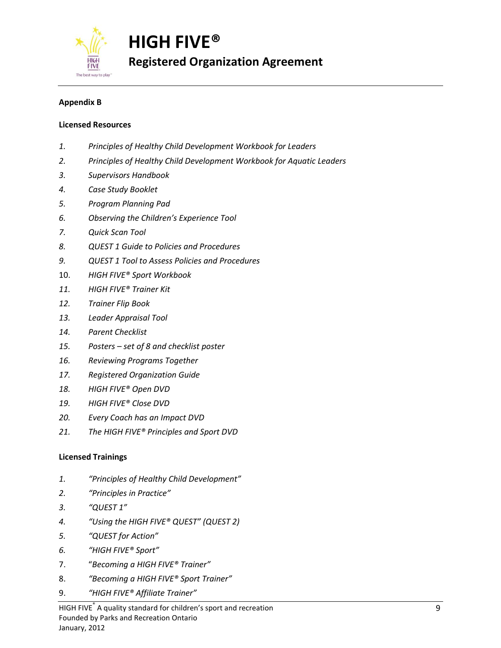The best way to play

**HIGH FIVE® Registered Organization Agreement**

# **Appendix B**

#### **Licensed Resources**

- *1. Principles of Healthy Child Development Workbook for Leaders*
- *2. Principles of Healthy Child Development Workbook for Aquatic Leaders*
- *3. Supervisors Handbook*
- *4. Case Study Booklet*
- *5. Program Planning Pad*
- *6. Observing the Children's Experience Tool*
- *7. Quick Scan Tool*
- *8. QUEST 1 Guide to Policies and Procedures*
- *9. QUEST 1 Tool to Assess Policies and Procedures*
- 10. *HIGH FIVE® Sport Workbook*
- *11. HIGH FIVE® Trainer Kit*
- *12. Trainer Flip Book*
- *13. Leader Appraisal Tool*
- *14. Parent Checklist*
- *15. Posters – set of 8 and checklist poster*
- *16. Reviewing Programs Together*
- *17. Registered Organization Guide*
- *18. HIGH FIVE® Open DVD*
- *19. HIGH FIVE® Close DVD*
- *20. Every Coach has an Impact DVD*
- *21. The HIGH FIVE® Principles and Sport DVD*

#### **Licensed Trainings**

- *1. "Principles of Healthy Child Development"*
- *2. "Principles in Practice"*
- *3. "QUEST 1"*
- *4. "Using the HIGH FIVE® QUEST" (QUEST 2)*
- *5. "QUEST for Action"*
- *6. "HIGH FIVE® Sport"*
- 7. "*Becoming a HIGH FIVE® Trainer"*
- 8. *"Becoming a HIGH FIVE® Sport Trainer"*
- 9. *"HIGH FIVE® Affiliate Trainer"*